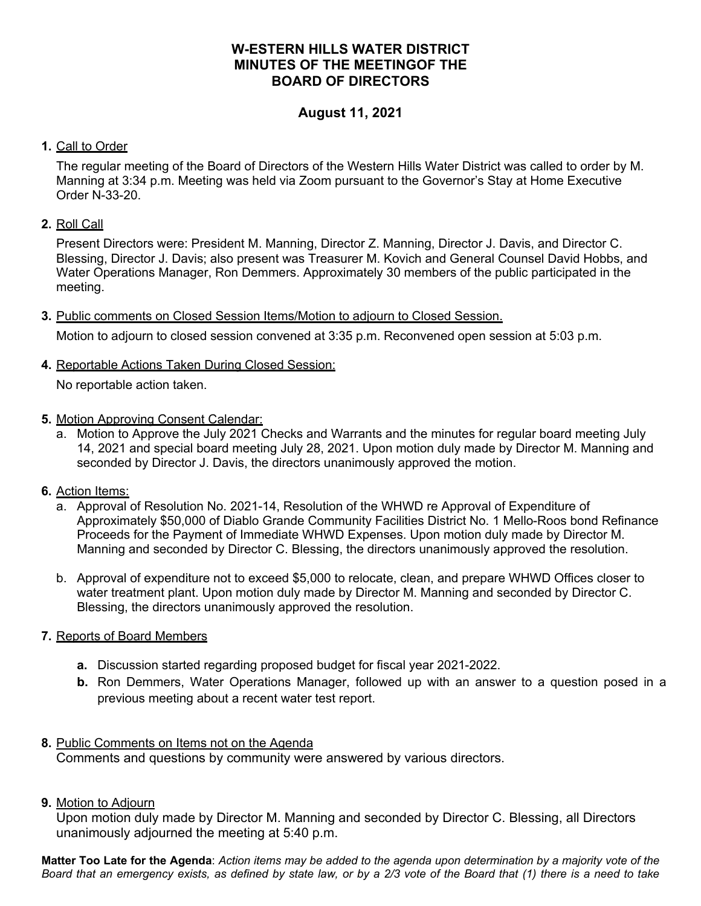# **W-ESTERN HILLS WATER DISTRICT MINUTES OF THE MEETINGOF THE BOARD OF DIRECTORS**

# **August 11, 2021**

#### **1.** Call to Order

The regular meeting of the Board of Directors of the Western Hills Water District was called to order by M. Manning at 3:34 p.m. Meeting was held via Zoom pursuant to the Governor's Stay at Home Executive Order N-33-20.

### **2.** Roll Call

Present Directors were: President M. Manning, Director Z. Manning, Director J. Davis, and Director C. Blessing, Director J. Davis; also present was Treasurer M. Kovich and General Counsel David Hobbs, and Water Operations Manager, Ron Demmers. Approximately 30 members of the public participated in the meeting.

**3.** Public comments on Closed Session Items/Motion to adjourn to Closed Session.

Motion to adjourn to closed session convened at 3:35 p.m. Reconvened open session at 5:03 p.m.

**4.** Reportable Actions Taken During Closed Session:

No reportable action taken.

- **5.** Motion Approving Consent Calendar:
	- a. Motion to Approve the July 2021 Checks and Warrants and the minutes for regular board meeting July 14, 2021 and special board meeting July 28, 2021. Upon motion duly made by Director M. Manning and seconded by Director J. Davis, the directors unanimously approved the motion.
- **6.** Action Items:
	- a. Approval of Resolution No. 2021-14, Resolution of the WHWD re Approval of Expenditure of Approximately \$50,000 of Diablo Grande Community Facilities District No. 1 Mello-Roos bond Refinance Proceeds for the Payment of Immediate WHWD Expenses. Upon motion duly made by Director M. Manning and seconded by Director C. Blessing, the directors unanimously approved the resolution.
	- b. Approval of expenditure not to exceed \$5,000 to relocate, clean, and prepare WHWD Offices closer to water treatment plant. Upon motion duly made by Director M. Manning and seconded by Director C. Blessing, the directors unanimously approved the resolution.

# **7.** Reports of Board Members

- **a.** Discussion started regarding proposed budget for fiscal year 2021-2022.
- **b.** Ron Demmers, Water Operations Manager, followed up with an answer to a question posed in a previous meeting about a recent water test report.

#### **8.** Public Comments on Items not on the Agenda

Comments and questions by community were answered by various directors.

**9.** Motion to Adjourn

Upon motion duly made by Director M. Manning and seconded by Director C. Blessing, all Directors unanimously adjourned the meeting at 5:40 p.m.

**Matter Too Late for the Agenda**: *Action items may be added to the agenda upon determination by a majority vote of the Board that an emergency exists, as defined by state law, or by a 2/3 vote of the Board that (1) there is a need to take*